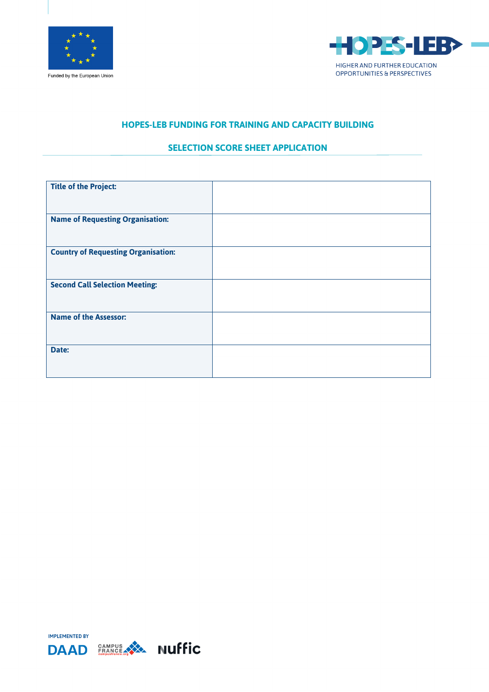



## **HOPES-LEB FUNDING FOR TRAINING AND CAPACITY BUILDING**

## **SELECTION SCORE SHEET APPLICATION**

| <b>Title of the Project:</b>               |  |
|--------------------------------------------|--|
|                                            |  |
|                                            |  |
| <b>Name of Requesting Organisation:</b>    |  |
|                                            |  |
|                                            |  |
|                                            |  |
| <b>Country of Requesting Organisation:</b> |  |
|                                            |  |
|                                            |  |
| <b>Second Call Selection Meeting:</b>      |  |
|                                            |  |
|                                            |  |
| <b>Name of the Assessor:</b>               |  |
|                                            |  |
|                                            |  |
|                                            |  |
| Date:                                      |  |
|                                            |  |
|                                            |  |

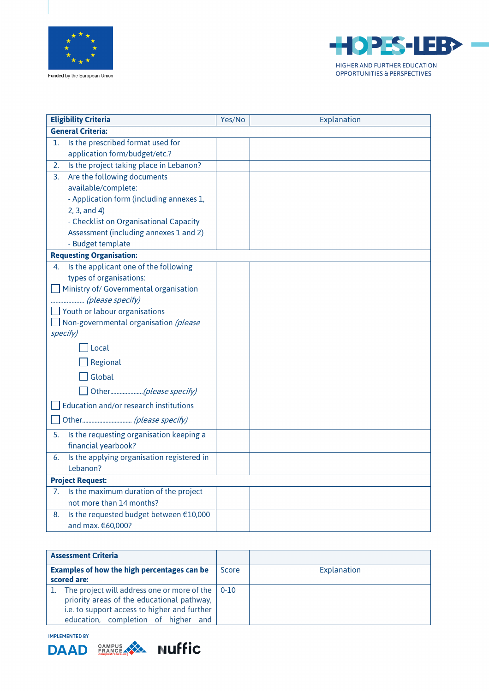



| <b>Eligibility Criteria</b>                         | Yes/No | Explanation |
|-----------------------------------------------------|--------|-------------|
| <b>General Criteria:</b>                            |        |             |
| Is the prescribed format used for<br>1.             |        |             |
| application form/budget/etc.?                       |        |             |
| Is the project taking place in Lebanon?<br>2.       |        |             |
| Are the following documents<br>3.                   |        |             |
| available/complete:                                 |        |             |
| - Application form (including annexes 1,            |        |             |
| 2, 3, and 4)                                        |        |             |
| - Checklist on Organisational Capacity              |        |             |
| Assessment (including annexes 1 and 2)              |        |             |
| - Budget template                                   |        |             |
| <b>Requesting Organisation:</b>                     |        |             |
| Is the applicant one of the following<br>4.         |        |             |
| types of organisations:                             |        |             |
| Ministry of/ Governmental organisation              |        |             |
| (please specify)                                    |        |             |
| Youth or labour organisations                       |        |             |
| $\Box$ Non-governmental organisation <i>(please</i> |        |             |
| specify)                                            |        |             |
| Local                                               |        |             |
| Regional                                            |        |             |
| Global                                              |        |             |
|                                                     |        |             |
| Education and/or research institutions              |        |             |
|                                                     |        |             |
| Is the requesting organisation keeping a<br>5.      |        |             |
| financial yearbook?                                 |        |             |
| Is the applying organisation registered in<br>6.    |        |             |
| Lebanon?                                            |        |             |
| <b>Project Request:</b>                             |        |             |
| Is the maximum duration of the project<br>7.        |        |             |
| not more than 14 months?                            |        |             |
| Is the requested budget between €10,000<br>8.       |        |             |
| and max. €60,000?                                   |        |             |

| <b>Assessment Criteria</b>                                                                                                                                                                          |       |             |
|-----------------------------------------------------------------------------------------------------------------------------------------------------------------------------------------------------|-------|-------------|
| Examples of how the high percentages can be                                                                                                                                                         | Score | Explanation |
| scored are:                                                                                                                                                                                         |       |             |
| 1. The project will address one or more of the $\vert$ 0-10<br>priority areas of the educational pathway,<br>i.e. to support access to higher and further<br>education, completion of higher<br>and |       |             |

**IMPLEMENTED BY** 

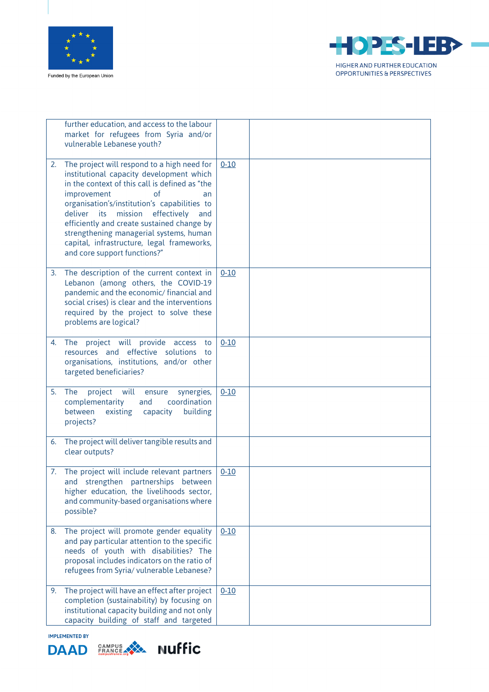



|    | further education, and access to the labour<br>market for refugees from Syria and/or<br>vulnerable Lebanese youth?                                                                                                                                                                                                                                                                                                                          |          |  |
|----|---------------------------------------------------------------------------------------------------------------------------------------------------------------------------------------------------------------------------------------------------------------------------------------------------------------------------------------------------------------------------------------------------------------------------------------------|----------|--|
| 2. | The project will respond to a high need for<br>institutional capacity development which<br>in the context of this call is defined as "the<br>improvement<br>0f<br>an<br>organisation's/institution's capabilities to<br>deliver its<br>mission<br>effectively<br>and<br>efficiently and create sustained change by<br>strengthening managerial systems, human<br>capital, infrastructure, legal frameworks,<br>and core support functions?" | $0 - 10$ |  |
| 3. | The description of the current context in<br>Lebanon (among others, the COVID-19<br>pandemic and the economic/ financial and<br>social crises) is clear and the interventions<br>required by the project to solve these<br>problems are logical?                                                                                                                                                                                            | $0 - 10$ |  |
| 4. | The project will provide<br>access<br>to<br>resources and effective solutions<br>to<br>organisations, institutions, and/or other<br>targeted beneficiaries?                                                                                                                                                                                                                                                                                 | $0 - 10$ |  |
| 5. | The<br>project<br>will<br>ensure<br>synergies,<br>coordination<br>complementarity<br>and<br>existing<br>between<br>capacity<br>building<br>projects?                                                                                                                                                                                                                                                                                        | $0 - 10$ |  |
| 6. | The project will deliver tangible results and<br>clear outputs?                                                                                                                                                                                                                                                                                                                                                                             |          |  |
|    | 7. The project will include relevant partners<br>and strengthen partnerships between<br>higher education, the livelihoods sector,<br>and community-based organisations where<br>possible?                                                                                                                                                                                                                                                   | $0 - 10$ |  |
| 8. | The project will promote gender equality<br>and pay particular attention to the specific<br>needs of youth with disabilities? The<br>proposal includes indicators on the ratio of<br>refugees from Syria/ vulnerable Lebanese?                                                                                                                                                                                                              | $0 - 10$ |  |
| 9. | The project will have an effect after project<br>completion (sustainability) by focusing on<br>institutional capacity building and not only<br>capacity building of staff and targeted                                                                                                                                                                                                                                                      | $0 - 10$ |  |

**IMPLEMENTED BY**